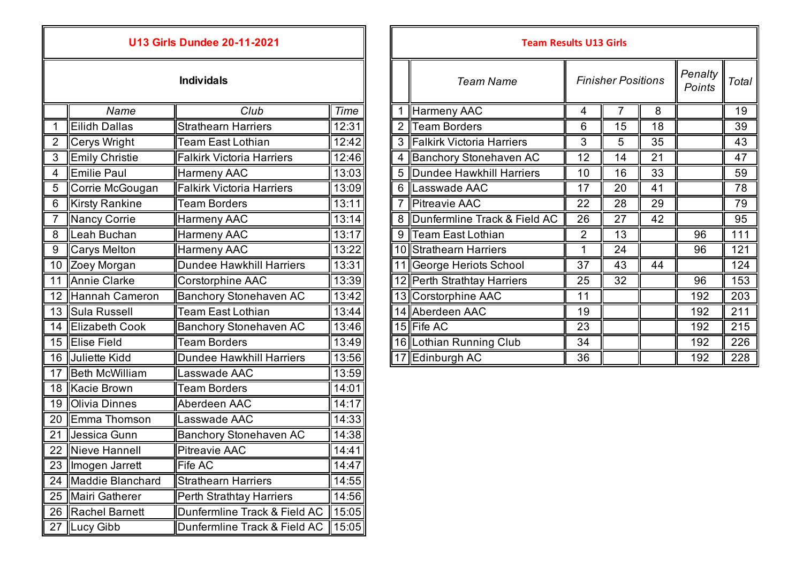| <b>U13 Girls Dundee 20-11-2021</b> |                         |                                  |                |  |  |  |
|------------------------------------|-------------------------|----------------------------------|----------------|--|--|--|
| <b>Individals</b>                  |                         |                                  |                |  |  |  |
|                                    | Name                    | Club                             | <b>Time</b>    |  |  |  |
| 1                                  | <b>Eilidh Dallas</b>    | <b>Strathearn Harriers</b>       | 12:31          |  |  |  |
| $\overline{2}$                     | <b>Cerys Wright</b>     | <b>Team East Lothian</b>         | 12:42          |  |  |  |
| 3                                  | <b>Emily Christie</b>   | <b>Falkirk Victoria Harriers</b> | 12:46          |  |  |  |
| $\overline{\mathbf{4}}$            | Emilie Paul             | <b>Harmeny AAC</b>               | 13:03          |  |  |  |
| 5                                  | Corrie McGougan         | <b>Falkirk Victoria Harriers</b> | 13:09          |  |  |  |
| 6                                  | <b>Kirsty Rankine</b>   | <b>Team Borders</b>              | 13:11          |  |  |  |
| 7                                  | <b>Nancy Corrie</b>     | <b>Harmeny AAC</b>               | 13:14          |  |  |  |
| 8                                  | Leah Buchan             | Harmeny AAC                      | 13:17          |  |  |  |
| 9                                  | <b>Carys Melton</b>     | Harmeny AAC                      | 13:22          |  |  |  |
| 10                                 | Zoey Morgan             | <b>Dundee Hawkhill Harriers</b>  | 13:31          |  |  |  |
| 11                                 | <b>Annie Clarke</b>     | Corstorphine AAC                 | 13:39          |  |  |  |
| 12                                 | Hannah Cameron          | <b>Banchory Stonehaven AC</b>    | 13:42          |  |  |  |
| 13                                 | Sula Russell            | <b>Team East Lothian</b>         | 13:44          |  |  |  |
| 14                                 | Elizabeth Cook          | <b>Banchory Stonehaven AC</b>    | 13:46          |  |  |  |
| 15                                 | <b>Elise Field</b>      | <b>Team Borders</b>              | 13:49          |  |  |  |
| 16                                 | Juliette Kidd           | <b>Dundee Hawkhill Harriers</b>  | 13:56          |  |  |  |
| 17                                 | <b>Beth McWilliam</b>   | Lasswade AAC                     | 13:59          |  |  |  |
| 18                                 | Kacie Brown             | <b>Team Borders</b>              | 14:01          |  |  |  |
| 19                                 | <b>Olivia Dinnes</b>    | Aberdeen AAC                     | 14:17          |  |  |  |
| 20                                 | Emma Thomson            | Lasswade AAC                     | 14:33          |  |  |  |
| 21                                 | Jessica Gunn            | <b>Banchory Stonehaven AC</b>    | 14:38          |  |  |  |
| 22                                 | Nieve Hannell           | <b>Pitreavie AAC</b>             | 14:41          |  |  |  |
| 23                                 | Imogen Jarrett          | <b>Fife AC</b>                   | $\sqrt{14.47}$ |  |  |  |
| 24                                 | <b>Maddie Blanchard</b> | <b>Strathearn Harriers</b>       | 14:55          |  |  |  |
| 25                                 | Mairi Gatherer          | <b>Perth Strathtay Harriers</b>  | 14:56          |  |  |  |
| 26                                 | <b>Rachel Barnett</b>   | Dunfermline Track & Field AC     | 15:05          |  |  |  |
| 27                                 | Lucy Gibb               | Dunfermline Track & Field AC     | 15:05          |  |  |  |

|                |                       | <b>U13 Girls Dundee 20-11-2021</b> |       |  | <b>Team Results U13 Girls</b>   |                |                           |    |                   |       |
|----------------|-----------------------|------------------------------------|-------|--|---------------------------------|----------------|---------------------------|----|-------------------|-------|
|                |                       | <b>Individals</b>                  |       |  | <b>Team Name</b>                |                | <b>Finisher Positions</b> |    | Penalty<br>Points | Total |
|                | Name                  | Club                               | Time  |  | Harmeny AAC                     | 4              |                           | 8  |                   | 19    |
|                | Eilidh Dallas         | <b>Strathearn Harriers</b>         | 12:31 |  | 2 Team Borders                  | 6              | 15                        | 18 |                   | 39    |
|                | Cerys Wright          | <b>Team East Lothian</b>           | 12:42 |  | 3 Falkirk Victoria Harriers     | 3              | 5                         | 35 |                   | 43    |
| 3              | Emily Christie        | <b>Falkirk Victoria Harriers</b>   | 12:46 |  | 4 Banchory Stonehaven AC        | 12             | 14                        | 21 |                   | 47    |
| $\overline{4}$ | <b>Emilie Paul</b>    | Harmeny AAC                        | 13:03 |  | 5 Dundee Hawkhill Harriers      | 10             | 16                        | 33 |                   | 59    |
| 5              | Corrie McGougan       | Falkirk Victoria Harriers          | 13:09 |  | 6 Lasswade AAC                  | 17             | 20                        | 41 |                   | 78    |
| $6\phantom{1}$ | <b>Kirsty Rankine</b> | <b>Team Borders</b>                | 13:11 |  | Pitreavie AAC                   | 22             | 28                        | 29 |                   | 79    |
| $\overline{7}$ | Nancy Corrie          | Harmeny AAC                        | 13:14 |  | 8  Dunfermline Track & Field AC | 26             | 27                        | 42 |                   | 95    |
| 8              | Leah Buchan           | Harmeny AAC                        | 13:17 |  | 9 Team East Lothian             | $\overline{2}$ | 13                        |    | 96                | 111   |
| $9\,$          | Carys Melton          | Harmeny AAC                        | 13:22 |  | 10 Strathearn Harriers          |                | 24                        |    | 96                | 121   |
|                | 10 Zoey Morgan        | Dundee Hawkhill Harriers           | 13:31 |  | George Heriots School           | 37             | 43                        | 44 |                   | 124   |
|                | 11 Annie Clarke       | Corstorphine AAC                   | 13:39 |  | 12 Perth Strathtay Harriers     | 25             | 32                        |    | 96                | 153   |
|                | 12 Hannah Cameron     | <b>Banchory Stonehaven AC</b>      | 13:42 |  | 13 Corstorphine AAC             | 11             |                           |    | 192               | 203   |
|                | 13 Sula Russell       | <b>Team East Lothian</b>           | 13:44 |  | 14 Aberdeen AAC                 | 19             |                           |    | 192               | 211   |
|                | 14 Elizabeth Cook     | <b>Banchory Stonehaven AC</b>      | 13:46 |  | 15 Fife AC                      | 23             |                           |    | 192               | 215   |
|                | 15 Elise Field        | <b>Team Borders</b>                | 13:49 |  | 16 Lothian Running Club         | 34             |                           |    | 192               | 226   |
|                | 16 Juliette Kidd      | Dundee Hawkhill Harriers           | 13:56 |  | 17 Edinburgh AC                 | 36             |                           |    | 192               | 228   |